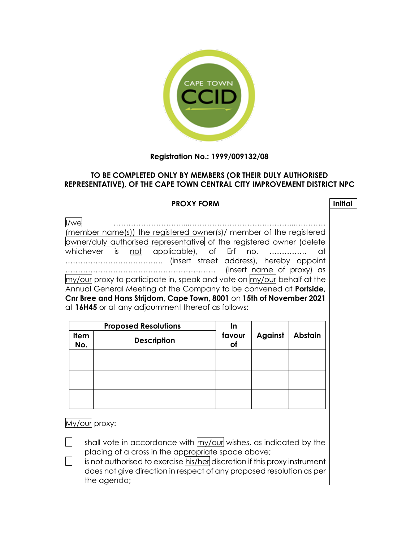

## **Registration No.: 1999/009132/08**

## **TO BE COMPLETED ONLY BY MEMBERS (OR THEIR DULY AUTHORISED REPRESENTATIVE), OF THE CAPE TOWN CENTRAL CITY IMPROVEMENT DISTRICT NPC**

## **PROXY FORM Initial** I/we ………………………....………………………….………...………… (member name(s)) the registered owner(s)/ member of the registered owner/duly authorised representative of the registered owner (delete whichever is not applicable), of Erf no. ............... at ………………………………… (insert street address), hereby appoint …………………………………………………… (insert name of proxy) as my/our proxy to participate in, speak and vote on my/our behalf at the Annual General Meeting of the Company to be convened at **Portside, Cnr Bree and Hans Strijdom, Cape Town, 8001** on **15th of November 2021** at **16H45** or at any adjournment thereof as follows: **Proposed Resolutions In favour of Item Against Abstain No. Description** My/our proxy: shall vote in accordance with my/our wishes, as indicated by the placing of a cross in the appropriate space above;

is not authorised to exercise his/her discretion if this proxy instrument does not give direction in respect of any proposed resolution as per the agenda;